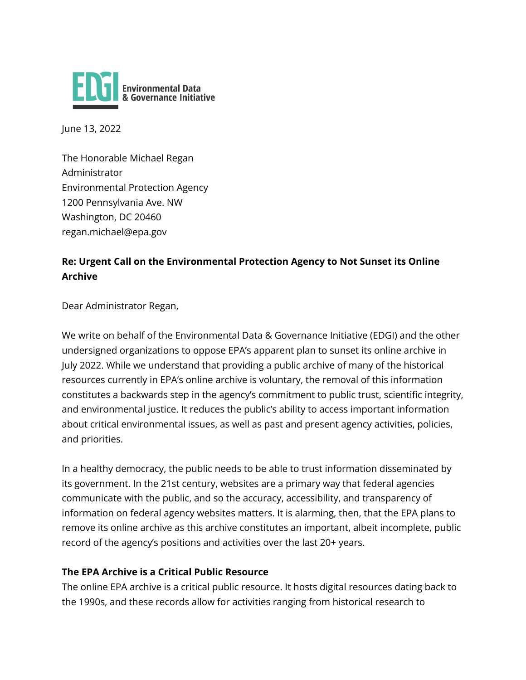

June 13, 2022

The Honorable Michael Regan Administrator Environmental Protection Agency 1200 Pennsylvania Ave. NW Washington, DC 20460 regan.michael@epa.gov

## **Re: Urgent Call on the Environmental Protection Agency to Not Sunset its Online Archive**

Dear Administrator Regan,

We write on behalf of the Environmental Data & Governance Initiative (EDGI) and the other undersigned organizations to oppose EPA's apparent plan to sunset its online archive in July 2022. While we understand that providing a public archive of many of the historical resources currently in EPA's online archive is voluntary, the removal of this information constitutes a backwards step in the agency's commitment to public trust, scientific integrity, and environmental justice. It reduces the public's ability to access important information about critical environmental issues, as well as past and present agency activities, policies, and priorities.

In a healthy democracy, the public needs to be able to trust information disseminated by its government. In the 21st century, websites are a primary way that federal agencies communicate with the public, and so the accuracy, accessibility, and transparency of information on federal agency websites matters. It is alarming, then, that the EPA plans to remove its online archive as this archive constitutes an important, albeit incomplete, public record of the agency's positions and activities over the last 20+ years.

## **The EPA Archive is a Critical Public Resource**

The online EPA archive is a critical public resource. It hosts digital resources dating back to the 1990s, and these records allow for activities ranging from historical research to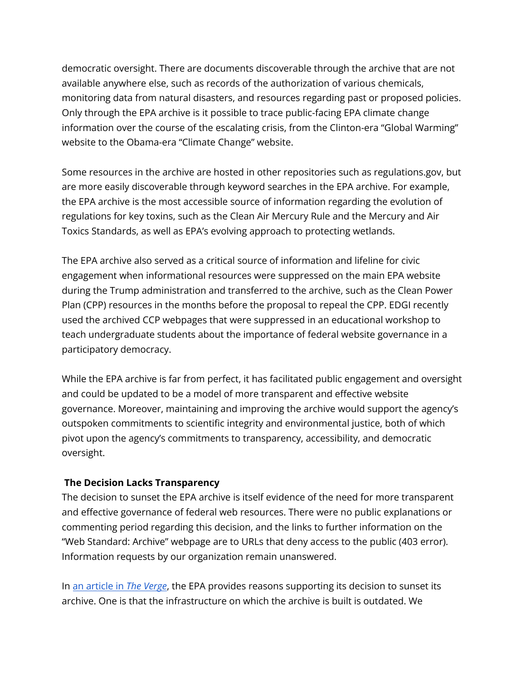democratic oversight. There are documents discoverable through the archive that are not available anywhere else, such as records of the authorization of various chemicals, monitoring data from natural disasters, and resources regarding past or proposed policies. Only through the EPA archive is it possible to trace public-facing EPA climate change information over the course of the escalating crisis, from the Clinton-era "Global Warming" website to the Obama-era "Climate Change" website.

Some resources in the archive are hosted in other repositories such as regulations.gov, but are more easily discoverable through keyword searches in the EPA archive. For example, the EPA archive is the most accessible source of information regarding the evolution of regulations for key toxins, such as the Clean Air Mercury Rule and the Mercury and Air Toxics Standards, as well as EPA's evolving approach to protecting wetlands.

The EPA archive also served as a critical source of information and lifeline for civic engagement when informational resources were suppressed on the main EPA website during the Trump administration and transferred to the archive, such as the Clean Power Plan (CPP) resources in the months before the proposal to repeal the CPP. EDGI recently used the archived CCP webpages that were suppressed in an educational workshop to teach undergraduate students about the importance of federal website governance in a participatory democracy.

While the EPA archive is far from perfect, it has facilitated public engagement and oversight and could be updated to be a model of more transparent and effective website governance. Moreover, maintaining and improving the archive would support the agency's outspoken commitments to scientific integrity and environmental justice, both of which pivot upon the agency's commitments to transparency, accessibility, and democratic oversight.

## **The Decision Lacks Transparency**

The decision to sunset the EPA archive is itself evidence of the need for more transparent and effective governance of federal web resources. There were no public explanations or commenting period regarding this decision, and the links to further information on the "Web Standard: Archive" webpage are to URLs that deny access to the public (403 error). Information requests by our organization remain unanswered.

In an [article in](https://www.theverge.com/2022/3/24/22993628/epa-online-archive-sunset-digital-records) *The Verge*, the EPA provides reasons supporting its decision to sunset its archive. One is that the infrastructure on which the archive is built is outdated. We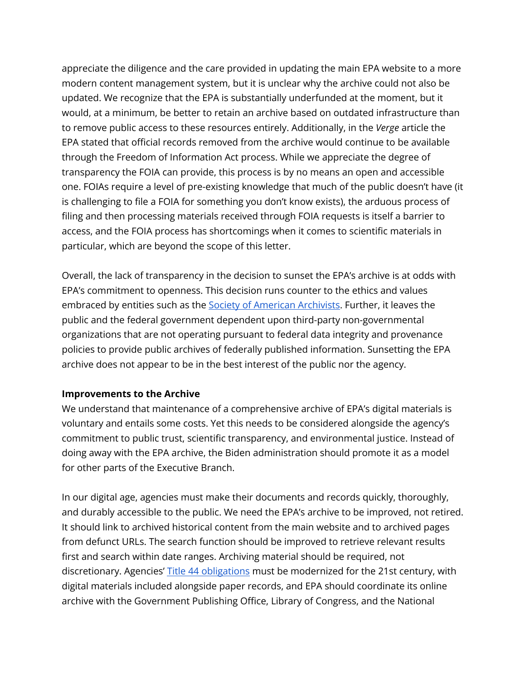appreciate the diligence and the care provided in updating the main EPA website to a more modern content management system, but it is unclear why the archive could not also be updated. We recognize that the EPA is substantially underfunded at the moment, but it would, at a minimum, be better to retain an archive based on outdated infrastructure than to remove public access to these resources entirely. Additionally, in the *Verge* article the EPA stated that official records removed from the archive would continue to be available through the Freedom of Information Act process. While we appreciate the degree of transparency the FOIA can provide, this process is by no means an open and accessible one. FOIAs require a level of pre-existing knowledge that much of the public doesn't have (it is challenging to file a FOIA for something you don't know exists), the arduous process of filing and then processing materials received through FOIA requests is itself a barrier to access, and the FOIA process has shortcomings when it comes to scientific materials in particular, which are beyond the scope of this letter.

Overall, the lack of transparency in the decision to sunset the EPA's archive is at odds with EPA's commitment to openness. This decision runs counter to the ethics and values embraced by entities such as the Society of American [Archivists.](https://www2.archivists.org/statements/saa-core-values-statement-and-code-of-ethics) Further, it leaves the public and the federal government dependent upon third-party non-governmental organizations that are not operating pursuant to federal data integrity and provenance policies to provide public archives of federally published information. Sunsetting the EPA archive does not appear to be in the best interest of the public nor the agency.

## **Improvements to the Archive**

We understand that maintenance of a comprehensive archive of EPA's digital materials is voluntary and entails some costs. Yet this needs to be considered alongside the agency's commitment to public trust, scientific transparency, and environmental justice. Instead of doing away with the EPA archive, the Biden administration should promote it as a model for other parts of the Executive Branch.

In our digital age, agencies must make their documents and records quickly, thoroughly, and durably accessible to the public. We need the EPA's archive to be improved, not retired. It should link to archived historical content from the main website and to archived pages from defunct URLs. The search function should be improved to retrieve relevant results first and search within date ranges. Archiving material should be required, not discretionary. Agencies' Title 44 [obligations](https://www.archives.gov/about/laws/fed-agencies.html) must be modernized for the 21st century, with digital materials included alongside paper records, and EPA should coordinate its online archive with the Government Publishing Office, Library of Congress, and the National